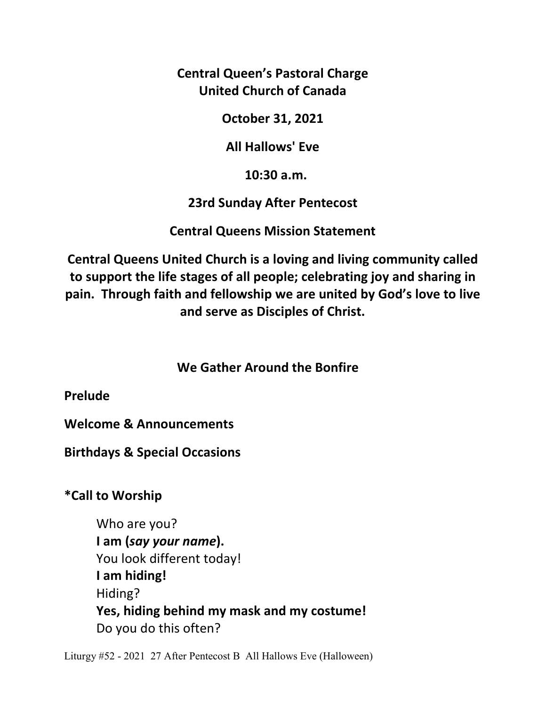**Central Queen's Pastoral Charge United Church of Canada** 

**October 31, 2021** 

**All Hallows' Eve** 

 **10:30 a.m.** 

**23rd Sunday After Pentecost** 

**Central Queens Mission Statement** 

**Central Queens United Church is a loving and living community called to support the life stages of all people; celebrating joy and sharing in pain. Through faith and fellowship we are united by God's love to live and serve as Disciples of Christ.**

 **We Gather Around the Bonfire** 

**Prelude** 

**Welcome & Announcements** 

**Birthdays & Special Occasions** 

**\*Call to Worship** 

 Who are you? **I am (***say your name***).**  You look different today! **I am hiding!**  Hiding? **Yes, hiding behind my mask and my costume!**  Do you do this often?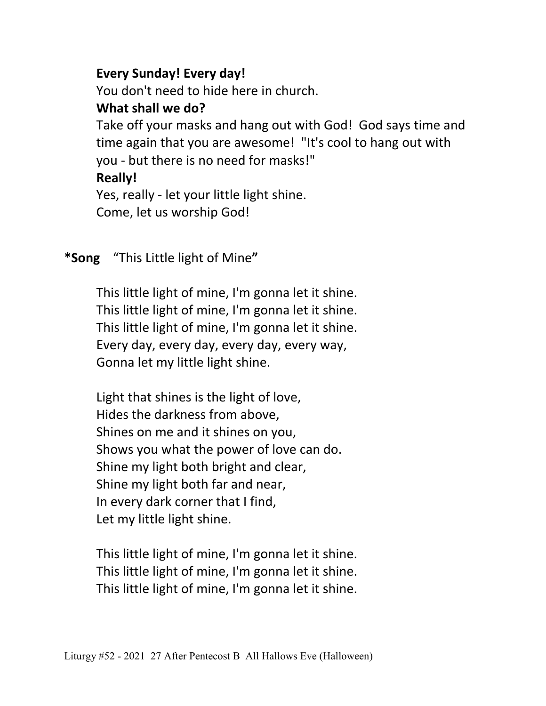## **Every Sunday! Every day!**

You don't need to hide here in church.

## **What shall we do?**

Take off your masks and hang out with God! God says time and time again that you are awesome! "It's cool to hang out with you - but there is no need for masks!"

# **Really!**

Yes, really - let your little light shine. Come, let us worship God!

# **\*Song** "This Little light of Mine**"**

This little light of mine, I'm gonna let it shine. This little light of mine, I'm gonna let it shine. This little light of mine, I'm gonna let it shine. Every day, every day, every day, every way, Gonna let my little light shine.

 Light that shines is the light of love, Hides the darkness from above, Shines on me and it shines on you, Shows you what the power of love can do. Shine my light both bright and clear, Shine my light both far and near, In every dark corner that I find, Let my little light shine.

 This little light of mine, I'm gonna let it shine. This little light of mine, I'm gonna let it shine. This little light of mine, I'm gonna let it shine.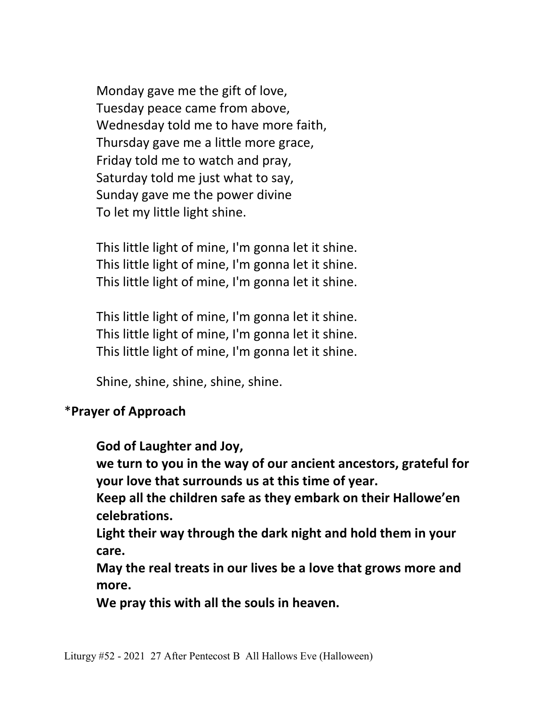Monday gave me the gift of love, Tuesday peace came from above, Wednesday told me to have more faith, Thursday gave me a little more grace, Friday told me to watch and pray, Saturday told me just what to say, Sunday gave me the power divine To let my little light shine.

 This little light of mine, I'm gonna let it shine. This little light of mine, I'm gonna let it shine. This little light of mine, I'm gonna let it shine.

 This little light of mine, I'm gonna let it shine. This little light of mine, I'm gonna let it shine. This little light of mine, I'm gonna let it shine.

Shine, shine, shine, shine, shine.

# \***Prayer of Approach**

 **God of Laughter and Joy,** 

 **we turn to you in the way of our ancient ancestors, grateful for your love that surrounds us at this time of year.** 

 **Keep all the children safe as they embark on their Hallowe'en celebrations.** 

 **Light their way through the dark night and hold them in your care.** 

 **May the real treats in our lives be a love that grows more and more.** 

 **We pray this with all the souls in heaven.**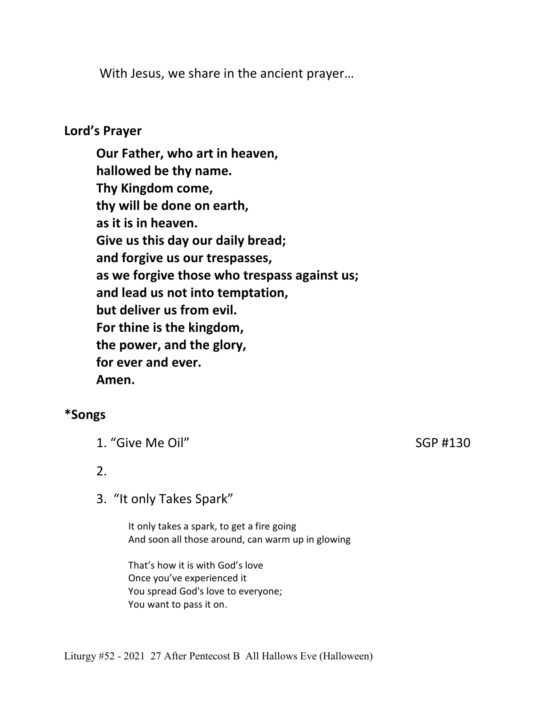With Jesus, we share in the ancient prayer…

#### **Lord's Prayer**

**Our Father, who art in heaven, hallowed be thy name. Thy Kingdom come, thy will be done on earth, as it is in heaven. Give us this day our daily bread; and forgive us our trespasses, as we forgive those who trespass against us; and lead us not into temptation, but deliver us from evil. For thine is the kingdom, the power, and the glory, for ever and ever. Amen.** 

#### **\*Songs**

- 1. "Give Me Oil" **SGP #130**
- 2.
- 3. "It only Takes Spark"

 It only takes a spark, to get a fire going And soon all those around, can warm up in glowing

 That's how it is with God's love Once you've experienced it You spread God's love to everyone; You want to pass it on.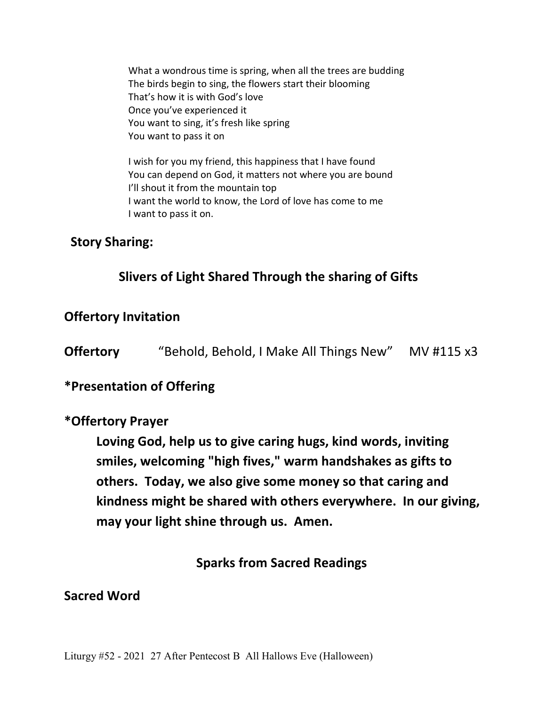What a wondrous time is spring, when all the trees are budding The birds begin to sing, the flowers start their blooming That's how it is with God's love Once you've experienced it You want to sing, it's fresh like spring You want to pass it on

 I wish for you my friend, this happiness that I have found You can depend on God, it matters not where you are bound I'll shout it from the mountain top I want the world to know, the Lord of love has come to me I want to pass it on.

### **Story Sharing:**

# **Slivers of Light Shared Through the sharing of Gifts**

## **Offertory Invitation**

**Offertory** "Behold, Behold, I Make All Things New" MV #115 x3

#### **\*Presentation of Offering**

#### **\*Offertory Prayer**

 **Loving God, help us to give caring hugs, kind words, inviting smiles, welcoming "high fives," warm handshakes as gifts to others. Today, we also give some money so that caring and kindness might be shared with others everywhere. In our giving, may your light shine through us. Amen.** 

## **Sparks from Sacred Readings**

#### **Sacred Word**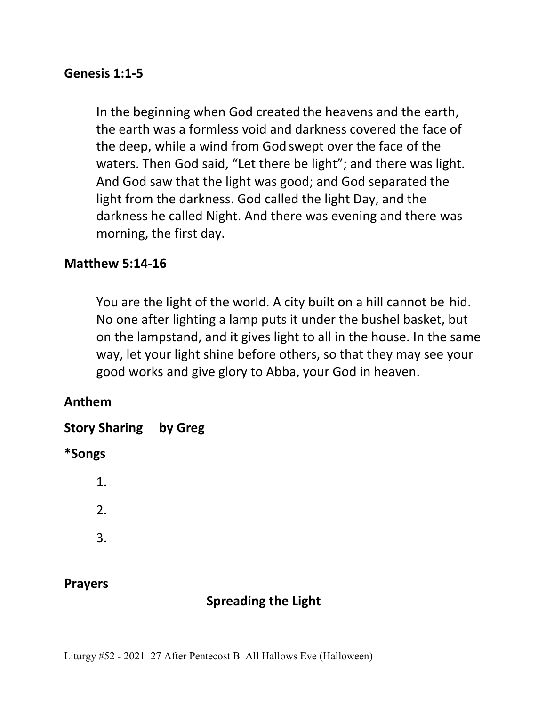### **Genesis 1:1-5**

 In the beginning when God created the heavens and the earth, the earth was a formless void and darkness covered the face of the deep, while a wind from God swept over the face of the waters. Then God said, "Let there be light"; and there was light. And God saw that the light was good; and God separated the light from the darkness. God called the light Day, and the darkness he called Night. And there was evening and there was morning, the first day.

### **Matthew 5:14-16**

You are the light of the world. A city built on a hill cannot be hid. No one after lighting a lamp puts it under the bushel basket, but on the lampstand, and it gives light to all in the house. In the same way, let your light shine before others, so that they may see your good works and give glory to Abba, your God in heaven.

#### **Anthem**

| <b>Story Sharing</b> | by Greg |
|----------------------|---------|
| *Songs               |         |
| 1.                   |         |
| 2.                   |         |
| 3.                   |         |
|                      |         |
| <b>Prayers</b>       |         |

## **Spreading the Light**